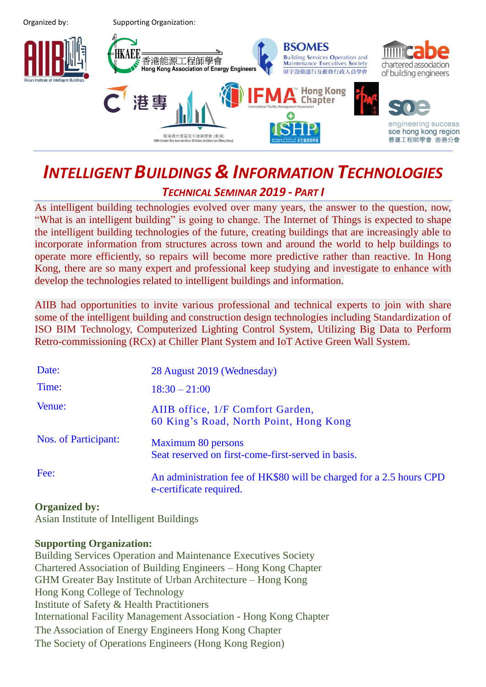Organized by: Supporting Organization:



# *INTELLIGENT BUILDINGS & INFORMATION TECHNOLOGIES*

## *TECHNICAL SEMINAR 2019 - PART I*

As intelligent building technologies evolved over many years, the answer to the question, now, "What is an intelligent building" is going to change. The Internet of Things is expected to shape the intelligent building technologies of the future, creating buildings that are increasingly able to incorporate information from structures across town and around the world to help buildings to operate more efficiently, so repairs will become more predictive rather than reactive. In Hong Kong, there are so many expert and professional keep studying and investigate to enhance with develop the technologies related to intelligent buildings and information.

AIIB had opportunities to invite various professional and technical experts to join with share some of the intelligent building and construction design technologies including Standardization of ISO BIM Technology, Computerized Lighting Control System, Utilizing Big Data to Perform Retro-commissioning (RCx) at Chiller Plant System and IoT Active Green Wall System.

| Date:                | 28 August 2019 (Wednesday)                                                                     |  |
|----------------------|------------------------------------------------------------------------------------------------|--|
| Time:                | $18:30 - 21:00$                                                                                |  |
| Venue:               | AIIB office, 1/F Comfort Garden,<br>60 King's Road, North Point, Hong Kong                     |  |
| Nos. of Participant: | Maximum 80 persons<br>Seat reserved on first-come-first-served in basis.                       |  |
| Fee:                 | An administration fee of HK\$80 will be charged for a 2.5 hours CPD<br>e-certificate required. |  |

## **Organized by:**

Asian Institute of Intelligent Buildings

## **Supporting Organization:**

Building Services Operation and Maintenance Executives Society Chartered Association of Building Engineers – Hong Kong Chapter GHM Greater Bay Institute of Urban Architecture – Hong Kong Hong Kong College of Technology Institute of Safety & Health Practitioners International Facility Management Association - Hong Kong Chapter The Association of Energy Engineers Hong Kong Chapter The Society of Operations Engineers (Hong Kong Region)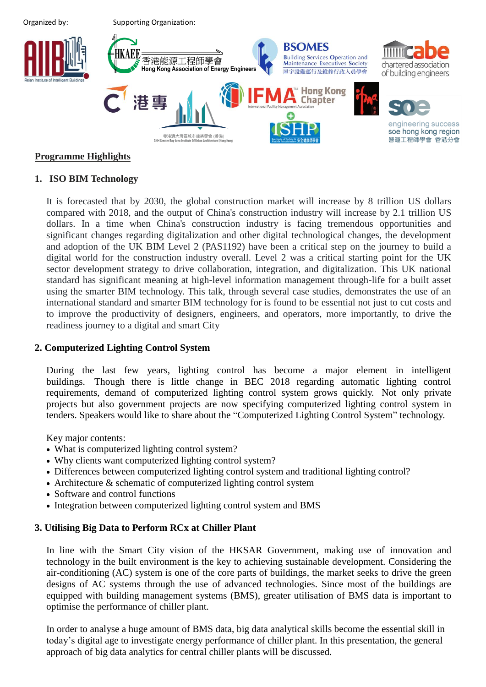

#### **Programme Highlights**

#### **1. ISO BIM Technology**

It is forecasted that by 2030, the global construction market will increase by 8 trillion US dollars compared with 2018, and the output of China's construction industry will increase by 2.1 trillion US dollars. In a time when China's construction industry is facing tremendous opportunities and significant changes regarding digitalization and other digital technological changes, the development and adoption of the UK BIM Level 2 (PAS1192) have been a critical step on the journey to build a digital world for the construction industry overall. Level 2 was a critical starting point for the UK sector development strategy to drive collaboration, integration, and digitalization. This UK national standard has significant meaning at high-level information management through-life for a built asset using the smarter BIM technology. This talk, through several case studies, demonstrates the use of an international standard and smarter BIM technology for is found to be essential not just to cut costs and to improve the productivity of designers, engineers, and operators, more importantly, to drive the readiness journey to a digital and smart City

#### **2. Computerized Lighting Control System**

During the last few years, lighting control has become a major element in intelligent buildings. Though there is little change in BEC 2018 regarding automatic lighting control requirements, demand of computerized lighting control system grows quickly. Not only private projects but also government projects are now specifying computerized lighting control system in tenders. Speakers would like to share about the "Computerized Lighting Control System" technology.

Key major contents:

- What is computerized lighting control system?
- Why clients want computerized lighting control system?
- Differences between computerized lighting control system and traditional lighting control?
- Architecture & schematic of computerized lighting control system
- Software and control functions
- Integration between computerized lighting control system and BMS

#### **3. Utilising Big Data to Perform RCx at Chiller Plant**

In line with the Smart City vision of the HKSAR Government, making use of innovation and technology in the built environment is the key to achieving sustainable development. Considering the air-conditioning (AC) system is one of the core parts of buildings, the market seeks to drive the green designs of AC systems through the use of advanced technologies. Since most of the buildings are equipped with building management systems (BMS), greater utilisation of BMS data is important to optimise the performance of chiller plant.

In order to analyse a huge amount of BMS data, big data analytical skills become the essential skill in today's digital age to investigate energy performance of chiller plant. In this presentation, the general approach of big data analytics for central chiller plants will be discussed.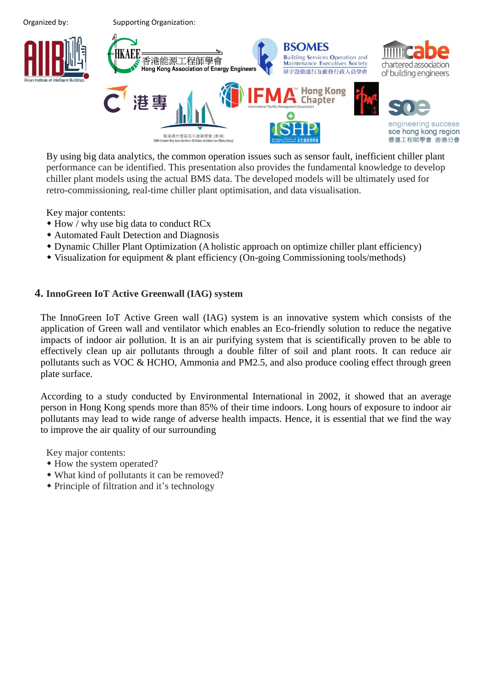

By using big data analytics, the common operation issues such as sensor fault, inefficient chiller plant performance can be identified. This presentation also provides the fundamental knowledge to develop chiller plant models using the actual BMS data. The developed models will be ultimately used for retro-commissioning, real-time chiller plant optimisation, and data visualisation.

Key major contents:

- How / why use big data to conduct RCx
- Automated Fault Detection and Diagnosis
- Dynamic Chiller Plant Optimization (A holistic approach on optimize chiller plant efficiency)
- Visualization for equipment & plant efficiency (On-going Commissioning tools/methods)

#### **4. InnoGreen IoT Active Greenwall (IAG) system**

The InnoGreen IoT Active Green wall (IAG) system is an innovative system which consists of the application of Green wall and ventilator which enables an Eco-friendly solution to reduce the negative impacts of indoor air pollution. It is an air purifying system that is scientifically proven to be able to effectively clean up air pollutants through a double filter of soil and plant roots. It can reduce air pollutants such as VOC & HCHO, Ammonia and PM2.5, and also produce cooling effect through green plate surface.

According to a study conducted by Environmental International in 2002, it showed that an average person in Hong Kong spends more than 85% of their time indoors. Long hours of exposure to indoor air pollutants may lead to wide range of adverse health impacts. Hence, it is essential that we find the way to improve the air quality of our surrounding

Key major contents:

- How the system operated?
- What kind of pollutants it can be removed?
- Principle of filtration and it's technology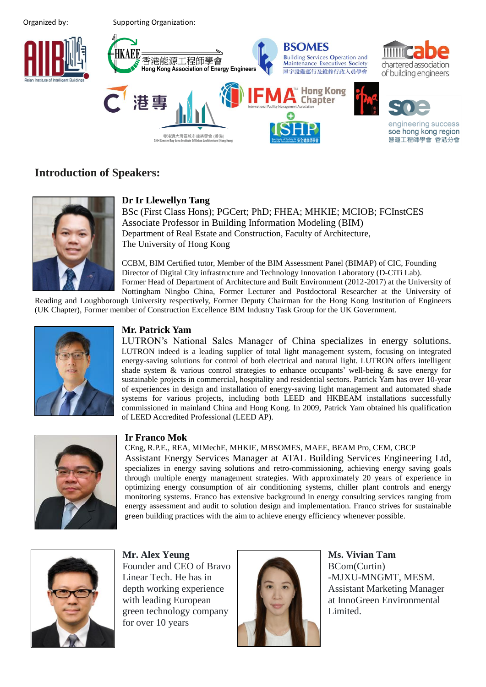Organized by: Supporting Organization:



## **Introduction of Speakers:**



### **Dr Ir Llewellyn Tang**

BSc (First Class Hons); PGCert; PhD; FHEA; MHKIE; MCIOB; FCInstCES Associate Professor in Building Information Modeling (BIM) Department of Real Estate and Construction, Faculty of Architecture, The University of Hong Kong

CCBM, BIM Certified tutor, Member of the BIM Assessment Panel (BIMAP) of CIC, Founding Director of Digital City infrastructure and Technology Innovation Laboratory (D-CiTi Lab). Former Head of Department of Architecture and Built Environment (2012-2017) at the University of Nottingham Ningbo China, Former Lecturer and Postdoctoral Researcher at the University of

Reading and Loughborough University respectively, Former Deputy Chairman for the Hong Kong Institution of Engineers (UK Chapter), Former member of Construction Excellence BIM Industry Task Group for the UK Government.



## **Mr. Patrick Yam**

LUTRON's National Sales Manager of China specializes in energy solutions. LUTRON indeed is a leading supplier of total light management system, focusing on integrated energy-saving solutions for control of both electrical and natural light. LUTRON offers intelligent shade system  $\&$  various control strategies to enhance occupants' well-being  $\&$  save energy for sustainable projects in commercial, hospitality and residential sectors. Patrick Yam has over 10-year of experiences in design and installation of energy-saving light management and automated shade systems for various projects, including both LEED and HKBEAM installations successfully commissioned in mainland China and Hong Kong. In 2009, Patrick Yam obtained his qualification of LEED Accredited Professional (LEED AP).



#### **Ir Franco Mok**

CEng, R.P.E., REA, MIMechE, MHKIE, MBSOMES, MAEE, BEAM Pro, CEM, CBCP Assistant Energy Services Manager at ATAL Building Services Engineering Ltd, specializes in energy saving solutions and retro-commissioning, achieving energy saving goals through multiple energy management strategies. With approximately 20 years of experience in optimizing energy consumption of air conditioning systems, chiller plant controls and energy monitoring systems. Franco has extensive background in energy consulting services ranging from energy assessment and audit to solution design and implementation. Franco strives for sustainable green building practices with the aim to achieve energy efficiency whenever possible.



**Mr. Alex Yeung** Founder and CEO of Bravo Linear Tech. He has in depth working experience with leading European green technology company for over 10 years



**Ms. Vivian Tam** BCom(Curtin) -MJXU-MNGMT, MESM. Assistant Marketing Manager at InnoGreen Environmental Limited.